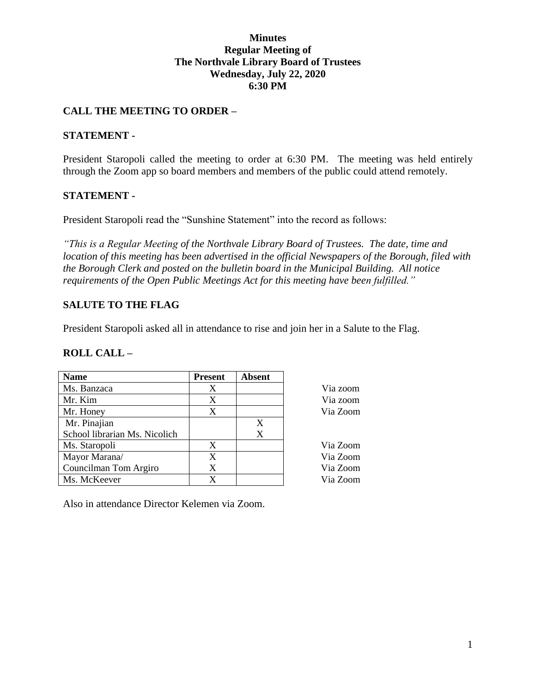#### **Minutes Regular Meeting of The Northvale Library Board of Trustees Wednesday, July 22, 2020 6:30 PM**

### **CALL THE MEETING TO ORDER –**

#### **STATEMENT -**

President Staropoli called the meeting to order at 6:30 PM. The meeting was held entirely through the Zoom app so board members and members of the public could attend remotely.

#### **STATEMENT -**

President Staropoli read the "Sunshine Statement" into the record as follows:

*"This is a Regular Meeting of the Northvale Library Board of Trustees. The date, time and location of this meeting has been advertised in the official Newspapers of the Borough, filed with the Borough Clerk and posted on the bulletin board in the Municipal Building. All notice requirements of the Open Public Meetings Act for this meeting have been fulfilled."* 

> Via zoom Via zoom Via Zoom

Via Zoom

Via Zoom Via Zoom Via Zoom

### **SALUTE TO THE FLAG**

President Staropoli asked all in attendance to rise and join her in a Salute to the Flag.

#### **ROLL CALL –**

| <b>Name</b>                   | <b>Present</b> | <b>Absent</b> |
|-------------------------------|----------------|---------------|
| Ms. Banzaca                   | X              |               |
| Mr. Kim                       | X              |               |
| Mr. Honey                     | X              |               |
| Mr. Pinajian                  |                | X             |
| School librarian Ms. Nicolich |                | X             |
| Ms. Staropoli                 | X              |               |
| Mayor Marana/                 | X              |               |
| Councilman Tom Argiro         | X              |               |
| Ms. McKeever                  | X              |               |

Also in attendance Director Kelemen via Zoom.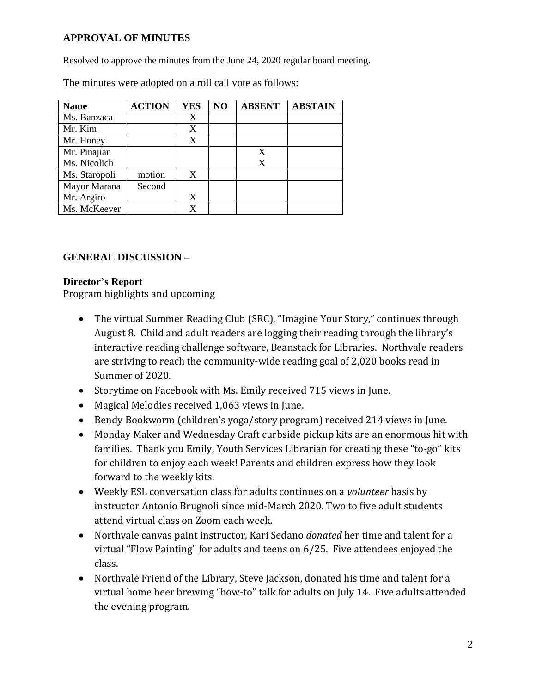## **APPROVAL OF MINUTES**

Resolved to approve the minutes from the June 24, 2020 regular board meeting.

| <b>Name</b>   | <b>ACTION</b> | <b>YES</b> | NO | <b>ABSENT</b> | <b>ABSTAIN</b> |
|---------------|---------------|------------|----|---------------|----------------|
| Ms. Banzaca   |               | X          |    |               |                |
| Mr. Kim       |               | X          |    |               |                |
| Mr. Honey     |               | X          |    |               |                |
| Mr. Pinajian  |               |            |    | X             |                |
| Ms. Nicolich  |               |            |    | X             |                |
| Ms. Staropoli | motion        | X          |    |               |                |
| Mayor Marana  | Second        |            |    |               |                |
| Mr. Argiro    |               | X          |    |               |                |
| Ms. McKeever  |               | X          |    |               |                |

The minutes were adopted on a roll call vote as follows:

## **GENERAL DISCUSSION –**

#### **Director's Report**

Program highlights and upcoming

- The virtual Summer Reading Club (SRC), "Imagine Your Story," continues through August 8. Child and adult readers are logging their reading through the library's interactive reading challenge software, Beanstack for Libraries. Northvale readers are striving to reach the community-wide reading goal of 2,020 books read in Summer of 2020.
- Storytime on Facebook with Ms. Emily received 715 views in June.
- Magical Melodies received 1,063 views in June.
- Bendy Bookworm (children's yoga/story program) received 214 views in June.
- Monday Maker and Wednesday Craft curbside pickup kits are an enormous hit with families. Thank you Emily, Youth Services Librarian for creating these "to-go" kits for children to enjoy each week! Parents and children express how they look forward to the weekly kits.
- Weekly ESL conversation class for adults continues on a *volunteer* basis by instructor Antonio Brugnoli since mid-March 2020. Two to five adult students attend virtual class on Zoom each week.
- Northvale canvas paint instructor, Kari Sedano *donated* her time and talent for a virtual "Flow Painting" for adults and teens on 6/25. Five attendees enjoyed the class.
- Northvale Friend of the Library, Steve Jackson, donated his time and talent for a virtual home beer brewing "how-to" talk for adults on July 14. Five adults attended the evening program.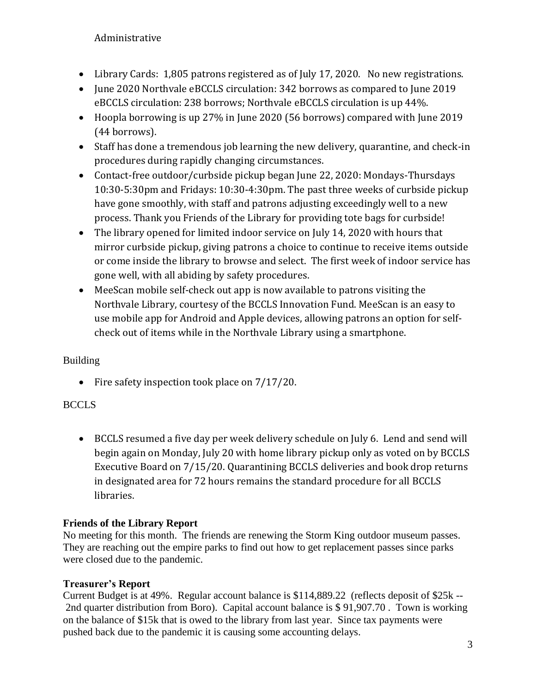Administrative

- Library Cards: 1,805 patrons registered as of July 17, 2020. No new registrations.
- June 2020 Northvale eBCCLS circulation: 342 borrows as compared to June 2019 eBCCLS circulation: 238 borrows; Northvale eBCCLS circulation is up 44%.
- Hoopla borrowing is up 27% in June 2020 (56 borrows) compared with June 2019 (44 borrows).
- Staff has done a tremendous job learning the new delivery, quarantine, and check-in procedures during rapidly changing circumstances.
- Contact-free outdoor/curbside pickup began June 22, 2020: Mondays-Thursdays 10:30-5:30pm and Fridays: 10:30-4:30pm. The past three weeks of curbside pickup have gone smoothly, with staff and patrons adjusting exceedingly well to a new process. Thank you Friends of the Library for providing tote bags for curbside!
- The library opened for limited indoor service on July 14, 2020 with hours that mirror curbside pickup, giving patrons a choice to continue to receive items outside or come inside the library to browse and select. The first week of indoor service has gone well, with all abiding by safety procedures.
- MeeScan mobile self-check out app is now available to patrons visiting the Northvale Library, courtesy of the BCCLS Innovation Fund. MeeScan is an easy to use mobile app for Android and Apple devices, allowing patrons an option for selfcheck out of items while in the Northvale Library using a smartphone.

# Building

• Fire safety inspection took place on  $7/17/20$ .

# **BCCLS**

 BCCLS resumed a five day per week delivery schedule on July 6. Lend and send will begin again on Monday, July 20 with home library pickup only as voted on by BCCLS Executive Board on 7/15/20. Quarantining BCCLS deliveries and book drop returns in designated area for 72 hours remains the standard procedure for all BCCLS libraries.

## **Friends of the Library Report**

No meeting for this month. The friends are renewing the Storm King outdoor museum passes. They are reaching out the empire parks to find out how to get replacement passes since parks were closed due to the pandemic.

## **Treasurer's Report**

Current Budget is at 49%. Regular account balance is \$114,889.22 (reflects deposit of \$25k -- 2nd quarter distribution from Boro). Capital account balance is \$ 91,907.70 . Town is working on the balance of \$15k that is owed to the library from last year. Since tax payments were pushed back due to the pandemic it is causing some accounting delays.